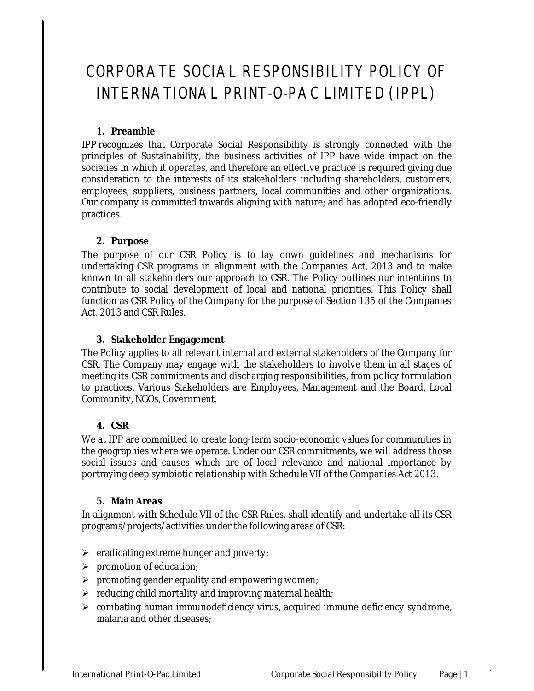# CORPORATE SOCIAL RESPONSIBILITY POLICY OF INTERNATIONAL PRINT-O-PAC LIMITED (IPPL)

# **1. Preamble**

IPP recognizes that Corporate Social Responsibility is strongly connected with the principles of Sustainability, the business activities of IPP have wide impact on the societies in which it operates, and therefore an effective practice is required giving due consideration to the interests of its stakeholders including shareholders, customers, employees, suppliers, business partners, local communities and other organizations. Our company is committed towards aligning with nature; and has adopted eco-friendly practices.

# **2. Purpose**

The purpose of our CSR Policy is to lay down guidelines and mechanisms for undertaking CSR programs in alignment with the Companies Act, 2013 and to make known to all stakeholders our approach to CSR. The Policy outlines our intentions to contribute to social development of local and national priorities. This Policy shall function as CSR Policy of the Company for the purpose of Section 135 of the Companies Act, 2013 and CSR Rules.

# **3. Stakeholder Engagement**

The Policy applies to all relevant internal and external stakeholders of the Company for CSR. The Company may engage with the stakeholders to involve them in all stages of meeting its CSR commitments and discharging responsibilities, from policy formulation to practices. Various Stakeholders are Employees, Management and the Board, Local Community, NGOs, Government.

# **4. CSR**

We at IPP are committed to create long-term socio-economic values for communities in the geographies where we operate. Under our CSR commitments, we will address those social issues and causes which are of local relevance and national importance by portraying deep symbiotic relationship with Schedule VII of the Companies Act 2013.

# **5. Main Areas**

In alignment with Schedule VII of the CSR Rules, shall identify and undertake all its CSR programs/projects/activities under the following areas of CSR:

- $\triangleright$  eradicating extreme hunger and poverty;
- $\triangleright$  promotion of education;
- $\triangleright$  promoting gender equality and empowering women;
- $\triangleright$  reducing child mortality and improving maternal health;
- $\triangleright$  combating human immunodeficiency virus, acquired immune deficiency syndrome, malaria and other diseases;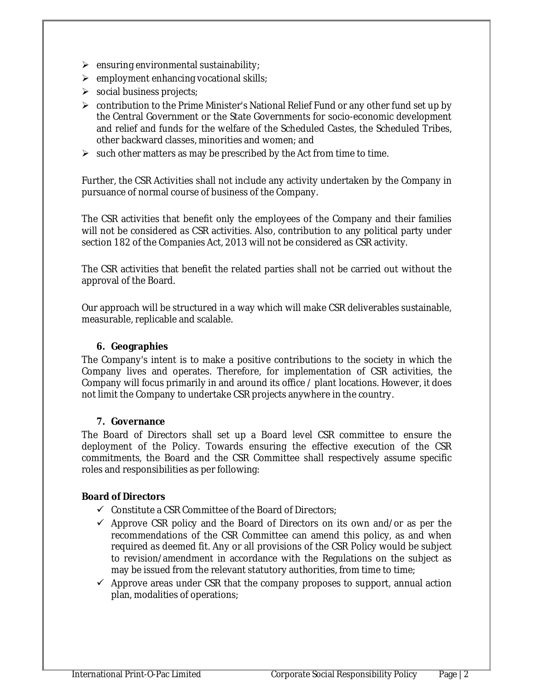- $\triangleright$  ensuring environmental sustainability;
- $\triangleright$  employment enhancing vocational skills;
- $\triangleright$  social business projects;
- contribution to the Prime Minister's National Relief Fund or any other fund set up by the Central Government or the State Governments for socio-economic development and relief and funds for the welfare of the Scheduled Castes, the Scheduled Tribes, other backward classes, minorities and women; and
- $\triangleright$  such other matters as may be prescribed by the Act from time to time.

Further, the CSR Activities shall not include any activity undertaken by the Company in pursuance of normal course of business of the Company.

The CSR activities that benefit only the employees of the Company and their families will not be considered as CSR activities. Also, contribution to any political party under section 182 of the Companies Act, 2013 will not be considered as CSR activity.

The CSR activities that benefit the related parties shall not be carried out without the approval of the Board.

Our approach will be structured in a way which will make CSR deliverables sustainable, measurable, replicable and scalable.

#### **6. Geographies**

The Company's intent is to make a positive contributions to the society in which the Company lives and operates. Therefore, for implementation of CSR activities, the Company will focus primarily in and around its office / plant locations. However, it does not limit the Company to undertake CSR projects anywhere in the country.

#### **7. Governance**

The Board of Directors shall set up a Board level CSR committee to ensure the deployment of the Policy. Towards ensuring the effective execution of the CSR commitments, the Board and the CSR Committee shall respectively assume specific roles and responsibilities as per following:

#### **Board of Directors**

- $\checkmark$  Constitute a CSR Committee of the Board of Directors;
- $\checkmark$  Approve CSR policy and the Board of Directors on its own and/or as per the recommendations of the CSR Committee can amend this policy, as and when required as deemed fit. Any or all provisions of the CSR Policy would be subject to revision/amendment in accordance with the Regulations on the subject as may be issued from the relevant statutory authorities, from time to time;
- $\checkmark$  Approve areas under CSR that the company proposes to support, annual action plan, modalities of operations;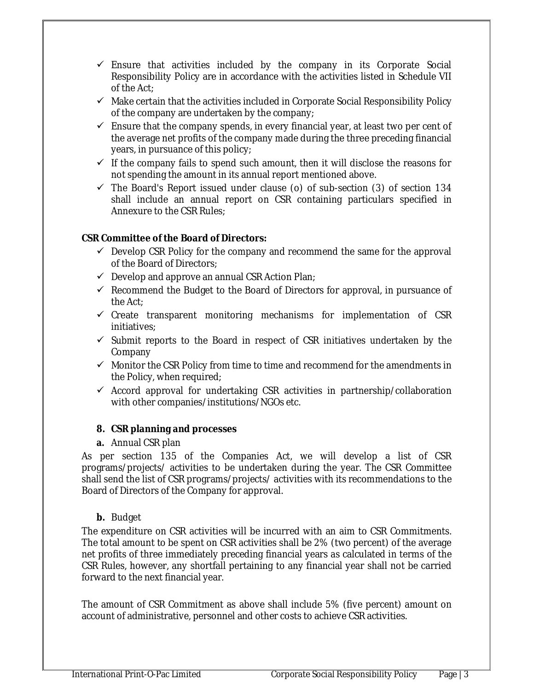- $\checkmark$  Ensure that activities included by the company in its Corporate Social Responsibility Policy are in accordance with the activities listed in Schedule VII of the Act;
- $\checkmark$  Make certain that the activities included in Corporate Social Responsibility Policy of the company are undertaken by the company;
- $\checkmark$  Ensure that the company spends, in every financial year, at least two per cent of the average net profits of the company made during the three preceding financial years, in pursuance of this policy;
- $\checkmark$  If the company fails to spend such amount, then it will disclose the reasons for not spending the amount in its annual report mentioned above.
- $\checkmark$  The Board's Report issued under clause (o) of sub-section (3) of section 134 shall include an annual report on CSR containing particulars specified in Annexure to the CSR Rules;

# **CSR Committee of the Board of Directors:**

- $\checkmark$  Develop CSR Policy for the company and recommend the same for the approval of the Board of Directors;
- $\checkmark$  Develop and approve an annual CSR Action Plan;
- $\checkmark$  Recommend the Budget to the Board of Directors for approval, in pursuance of the Act;
- $\checkmark$  Create transparent monitoring mechanisms for implementation of CSR initiatives;
- $\checkmark$  Submit reports to the Board in respect of CSR initiatives undertaken by the Company
- $\checkmark$  Monitor the CSR Policy from time to time and recommend for the amendments in the Policy, when required;
- $\checkmark$  Accord approval for undertaking CSR activities in partnership/collaboration with other companies/institutions/NGOs etc.

# **8. CSR planning and processes**

**a.** Annual CSR plan

As per section 135 of the Companies Act, we will develop a list of CSR programs/projects/ activities to be undertaken during the year. The CSR Committee shall send the list of CSR programs/projects/ activities with its recommendations to the Board of Directors of the Company for approval.

# **b.** Budget

The expenditure on CSR activities will be incurred with an aim to CSR Commitments. The total amount to be spent on CSR activities shall be 2% (two percent) of the average net profits of three immediately preceding financial years as calculated in terms of the CSR Rules, however, any shortfall pertaining to any financial year shall not be carried forward to the next financial year.

The amount of CSR Commitment as above shall include 5% (five percent) amount on account of administrative, personnel and other costs to achieve CSR activities.